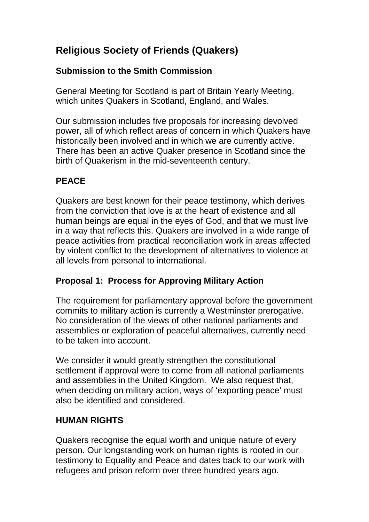# **Religious Society of Friends (Quakers)**

## **Submission to the Smith Commission**

General Meeting for Scotland is part of Britain Yearly Meeting, which unites Quakers in Scotland, England, and Wales.

Our submission includes five proposals for increasing devolved power, all of which reflect areas of concern in which Quakers have historically been involved and in which we are currently active. There has been an active Quaker presence in Scotland since the birth of Quakerism in the mid-seventeenth century.

# **PEACE**

Quakers are best known for their peace testimony, which derives from the conviction that love is at the heart of existence and all human beings are equal in the eyes of God, and that we must live in a way that reflects this. Quakers are involved in a wide range of peace activities from practical reconciliation work in areas affected by violent conflict to the development of alternatives to violence at all levels from personal to international.

### **Proposal 1: Process for Approving Military Action**

The requirement for parliamentary approval before the government commits to military action is currently a Westminster prerogative. No consideration of the views of other national parliaments and assemblies or exploration of peaceful alternatives, currently need to be taken into account.

We consider it would greatly strengthen the constitutional settlement if approval were to come from all national parliaments and assemblies in the United Kingdom. We also request that, when deciding on military action, ways of 'exporting peace' must also be identified and considered.

### **HUMAN RIGHTS**

Quakers recognise the equal worth and unique nature of every person. Our longstanding work on human rights is rooted in our testimony to Equality and Peace and dates back to our work with refugees and prison reform over three hundred years ago.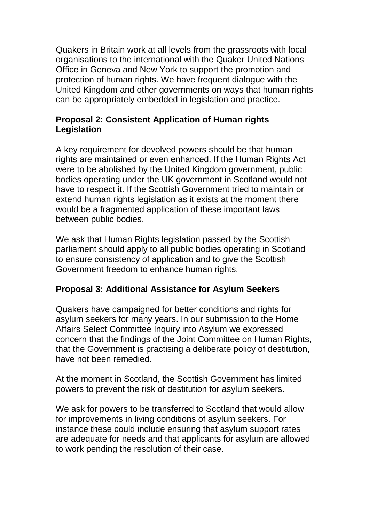Quakers in Britain work at all levels from the grassroots with local organisations to the international with the Quaker United Nations Office in Geneva and New York to support the promotion and protection of human rights. We have frequent dialogue with the United Kingdom and other governments on ways that human rights can be appropriately embedded in legislation and practice.

#### **Proposal 2: Consistent Application of Human rights Legislation**

A key requirement for devolved powers should be that human rights are maintained or even enhanced. If the Human Rights Act were to be abolished by the United Kingdom government, public bodies operating under the UK government in Scotland would not have to respect it. If the Scottish Government tried to maintain or extend human rights legislation as it exists at the moment there would be a fragmented application of these important laws between public bodies.

We ask that Human Rights legislation passed by the Scottish parliament should apply to all public bodies operating in Scotland to ensure consistency of application and to give the Scottish Government freedom to enhance human rights.

### **Proposal 3: Additional Assistance for Asylum Seekers**

Quakers have campaigned for better conditions and rights for asylum seekers for many years. In our submission to the Home Affairs Select Committee Inquiry into Asylum we expressed concern that the findings of the Joint Committee on Human Rights, that the Government is practising a deliberate policy of destitution, have not been remedied.

At the moment in Scotland, the Scottish Government has limited powers to prevent the risk of destitution for asylum seekers.

We ask for powers to be transferred to Scotland that would allow for improvements in living conditions of asylum seekers. For instance these could include ensuring that asylum support rates are adequate for needs and that applicants for asylum are allowed to work pending the resolution of their case.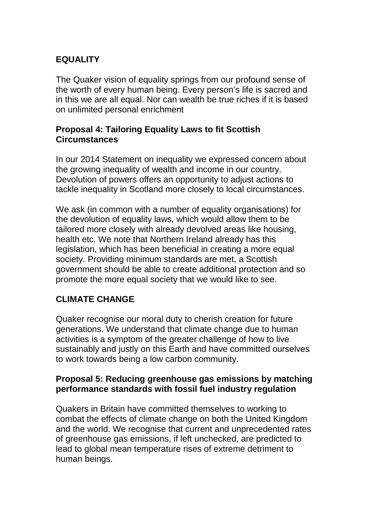## **EQUALITY**

The Quaker vision of equality springs from our profound sense of the worth of every human being. Every person's life is sacred and in this we are all equal. Nor can wealth be true riches if it is based on unlimited personal enrichment

#### **Proposal 4: Tailoring Equality Laws to fit Scottish Circumstances**

In our 2014 Statement on inequality we expressed concern about the growing inequality of wealth and income in our country. Devolution of powers offers an opportunity to adjust actions to tackle inequality in Scotland more closely to local circumstances.

We ask (in common with a number of equality organisations) for the devolution of equality laws, which would allow them to be tailored more closely with already devolved areas like housing, health etc. We note that Northern Ireland already has this legislation, which has been beneficial in creating a more equal society. Providing minimum standards are met, a Scottish government should be able to create additional protection and so promote the more equal society that we would like to see.

# **CLIMATE CHANGE**

Quaker recognise our moral duty to cherish creation for future generations. We understand that climate change due to human activities is a symptom of the greater challenge of how to live sustainably and justly on this Earth and have committed ourselves to work towards being a low carbon community.

#### **Proposal 5: Reducing greenhouse gas emissions by matching performance standards with fossil fuel industry regulation**

Quakers in Britain have committed themselves to working to combat the effects of climate change on both the United Kingdom and the world. We recognise that current and unprecedented rates of greenhouse gas emissions, if left unchecked, are predicted to lead to global mean temperature rises of extreme detriment to human beings.